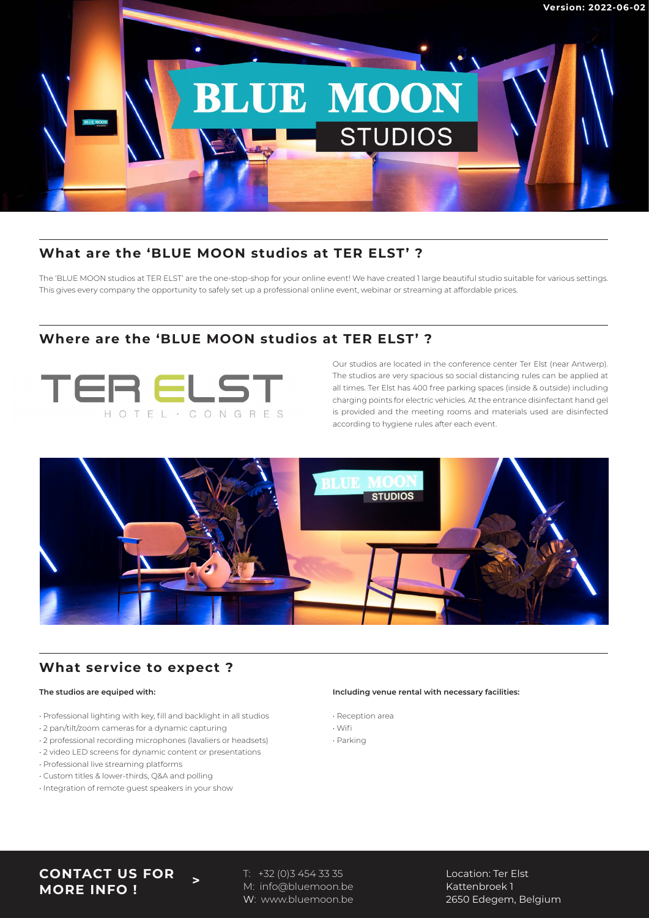

## **What are the 'BLUE MOON studios at TER ELST' ?**

The 'BLUE MOON studios at TER ELST' are the one-stop-shop for your online event! We have created 1 large beautiful studio suitable for various settings. This gives every company the opportunity to safely set up a professional online event, webinar or streaming at affordable prices.

## **Where are the 'BLUE MOON studios at TER ELST' ?**



Our studios are located in the conference center Ter Elst (near Antwerp). The studios are very spacious so social distancing rules can be applied at all times. Ter Elst has 400 free parking spaces (inside & outside) including charging points for electric vehicles. At the entrance disinfectant hand gel is provided and the meeting rooms and materials used are disinfected according to hygiene rules after each event.



## **What service to expect ?**

### **The studios are equiped with:**

- Professional lighting with key, fill and backlight in all studios
- 2 pan/tilt/zoom cameras for a dynamic capturing
- 2 professional recording microphones (lavaliers or headsets)

**>**

- 2 video LED screens for dynamic content or presentations
- Professional live streaming platforms
- Custom titles & lower-thirds, Q&A and polling
- Integration of remote guest speakers in your show

#### **Including venue rental with necessary facilities:**

- Reception area
- Wifi
- Parking

**CONTACT US FOR MORE INFO !**

T: +32 (0)3 454 33 35 M: info@bluemoon.be W: www.bluemoon.be

Location: Ter Elst Kattenbroek 1 2650 Edegem, Belgium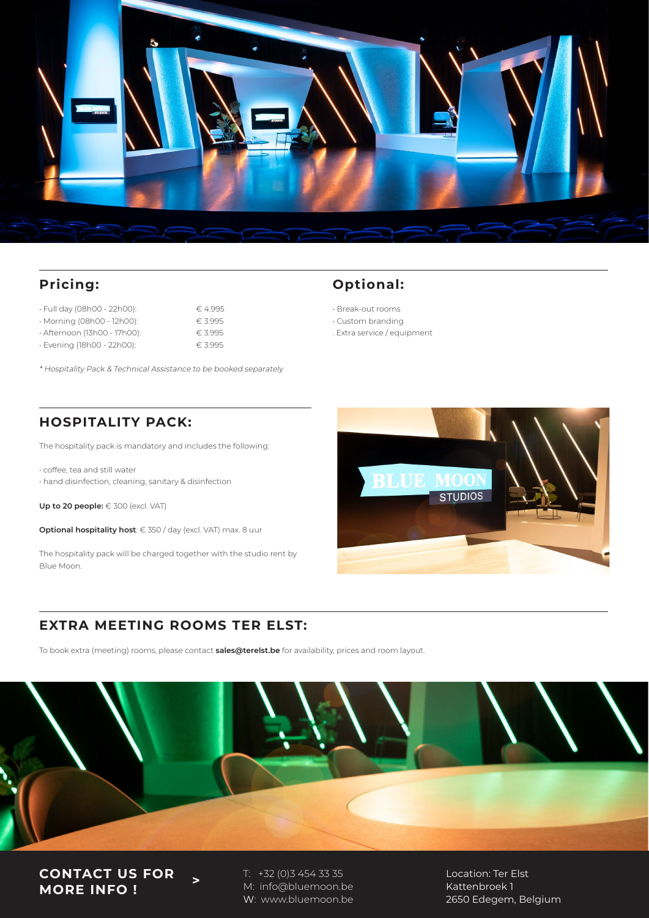

# **Pricing:**

- Full day (08h00 22h00): € 4.995
- Morning (08h00 12h00): € 3.995
- Afternoon (13h00 17h00): € 3.995
- Evening (18h00 22h00): € 3.995

\* Hospitality Pack & Technical Assistance to be booked separately

### • Break-out rooms • Custom branding

**Optional:**

. Extra service / equipment

## **HOSPITALITY PACK:**

The hospitality pack is mandatory and includes the following:

- coffee, tea and still water
- hand disinfection, cleaning, sanitary & disinfection

**Up to 20 people:** € 300 (excl. VAT)

**Optional hospitality host**: € 350 / day (excl. VAT) max. 8 uur

The hospitality pack will be charged together with the studio rent by Blue Moon.



### **EXTRA MEETING ROOMS TER ELST:**

**>**

To book extra (meeting) rooms, please contact **sales@terelst.be** for availability, prices and room layout.



**CONTACT US FOR MORE INFO !**

T: +32 (0)3 454 33 35 M: info@bluemoon.be W: www.bluemoon.be

Location: Ter Elst Kattenbroek 1 2650 Edegem, Belgium